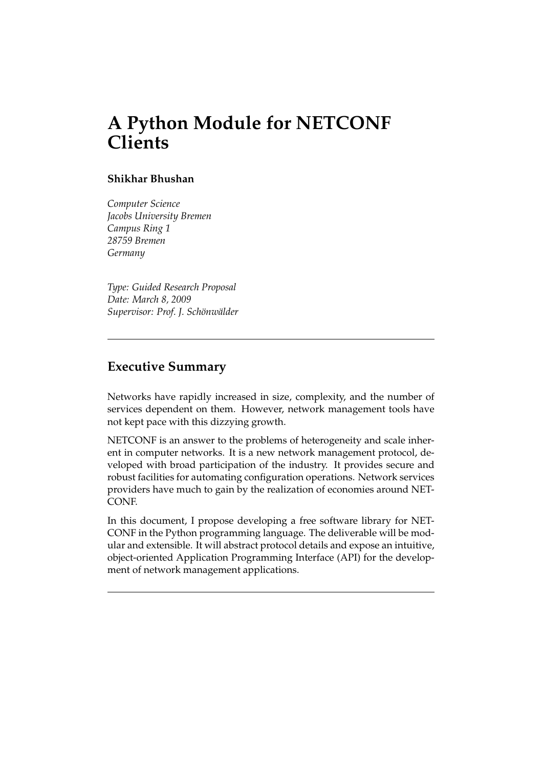# **A Python Module for NETCONF Clients**

### **Shikhar Bhushan**

*Computer Science Jacobs University Bremen Campus Ring 1 28759 Bremen Germany*

*Type: Guided Research Proposal Date: March 8, 2009 Supervisor: Prof. J. Sch¨onw¨alder*

# **Executive Summary**

Networks have rapidly increased in size, complexity, and the number of services dependent on them. However, network management tools have not kept pace with this dizzying growth.

NETCONF is an answer to the problems of heterogeneity and scale inherent in computer networks. It is a new network management protocol, developed with broad participation of the industry. It provides secure and robust facilities for automating configuration operations. Network services providers have much to gain by the realization of economies around NET-CONF.

In this document, I propose developing a free software library for NET-CONF in the Python programming language. The deliverable will be modular and extensible. It will abstract protocol details and expose an intuitive, object-oriented Application Programming Interface (API) for the development of network management applications.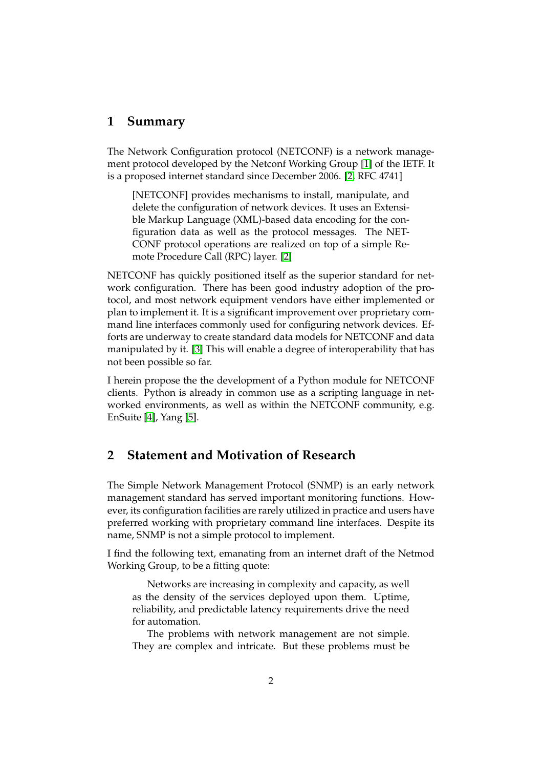## **1 Summary**

The Network Configuration protocol (NETCONF) is a network management protocol developed by the Netconf Working Group [\[1\]](#page-8-0) of the IETF. It is a proposed internet standard since December 2006. [\[2,](#page-8-1) RFC 4741]

[NETCONF] provides mechanisms to install, manipulate, and delete the configuration of network devices. It uses an Extensible Markup Language (XML)-based data encoding for the configuration data as well as the protocol messages. The NET-CONF protocol operations are realized on top of a simple Remote Procedure Call (RPC) layer. [\[2\]](#page-8-1)

NETCONF has quickly positioned itself as the superior standard for network configuration. There has been good industry adoption of the protocol, and most network equipment vendors have either implemented or plan to implement it. It is a significant improvement over proprietary command line interfaces commonly used for configuring network devices. Efforts are underway to create standard data models for NETCONF and data manipulated by it. [\[3\]](#page-8-2) This will enable a degree of interoperability that has not been possible so far.

I herein propose the the development of a Python module for NETCONF clients. Python is already in common use as a scripting language in networked environments, as well as within the NETCONF community, e.g. EnSuite [\[4\]](#page-8-3), Yang [\[5\]](#page-8-4).

# **2 Statement and Motivation of Research**

The Simple Network Management Protocol (SNMP) is an early network management standard has served important monitoring functions. However, its configuration facilities are rarely utilized in practice and users have preferred working with proprietary command line interfaces. Despite its name, SNMP is not a simple protocol to implement.

I find the following text, emanating from an internet draft of the Netmod Working Group, to be a fitting quote:

Networks are increasing in complexity and capacity, as well as the density of the services deployed upon them. Uptime, reliability, and predictable latency requirements drive the need for automation.

The problems with network management are not simple. They are complex and intricate. But these problems must be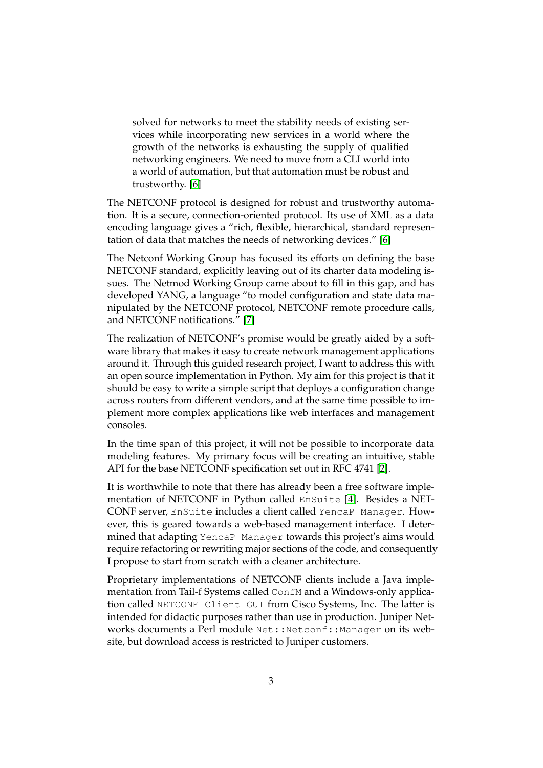solved for networks to meet the stability needs of existing services while incorporating new services in a world where the growth of the networks is exhausting the supply of qualified networking engineers. We need to move from a CLI world into a world of automation, but that automation must be robust and trustworthy. [\[6\]](#page-8-5)

The NETCONF protocol is designed for robust and trustworthy automation. It is a secure, connection-oriented protocol. Its use of XML as a data encoding language gives a "rich, flexible, hierarchical, standard representation of data that matches the needs of networking devices." [\[6\]](#page-8-5)

The Netconf Working Group has focused its efforts on defining the base NETCONF standard, explicitly leaving out of its charter data modeling issues. The Netmod Working Group came about to fill in this gap, and has developed YANG, a language "to model configuration and state data manipulated by the NETCONF protocol, NETCONF remote procedure calls, and NETCONF notifications." [\[7\]](#page-8-6)

The realization of NETCONF's promise would be greatly aided by a software library that makes it easy to create network management applications around it. Through this guided research project, I want to address this with an open source implementation in Python. My aim for this project is that it should be easy to write a simple script that deploys a configuration change across routers from different vendors, and at the same time possible to implement more complex applications like web interfaces and management consoles.

In the time span of this project, it will not be possible to incorporate data modeling features. My primary focus will be creating an intuitive, stable API for the base NETCONF specification set out in RFC 4741 [\[2\]](#page-8-1).

It is worthwhile to note that there has already been a free software implementation of NETCONF in Python called EnSuite [\[4\]](#page-8-3). Besides a NET-CONF server, EnSuite includes a client called YencaP Manager. However, this is geared towards a web-based management interface. I determined that adapting YencaP Manager towards this project's aims would require refactoring or rewriting major sections of the code, and consequently I propose to start from scratch with a cleaner architecture.

Proprietary implementations of NETCONF clients include a Java implementation from Tail-f Systems called ConfM and a Windows-only application called NETCONF Client GUI from Cisco Systems, Inc. The latter is intended for didactic purposes rather than use in production. Juniper Networks documents a Perl module Net:: Netconf:: Manager on its website, but download access is restricted to Juniper customers.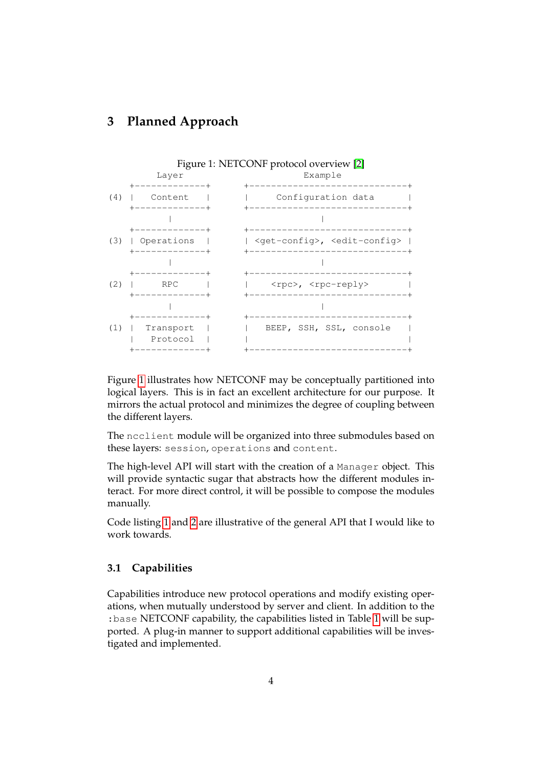# <span id="page-3-0"></span>**3 Planned Approach**



Figure [1](#page-3-0) illustrates how NETCONF may be conceptually partitioned into logical layers. This is in fact an excellent architecture for our purpose. It mirrors the actual protocol and minimizes the degree of coupling between the different layers.

The ncclient module will be organized into three submodules based on these layers: session, operations and content.

The high-level API will start with the creation of a Manager object. This will provide syntactic sugar that abstracts how the different modules interact. For more direct control, it will be possible to compose the modules manually.

Code listing [1](#page-4-0) and [2](#page-4-1) are illustrative of the general API that I would like to work towards.

### **3.1 Capabilities**

Capabilities introduce new protocol operations and modify existing operations, when mutually understood by server and client. In addition to the :base NETCONF capability, the capabilities listed in Table [1](#page-5-0) will be supported. A plug-in manner to support additional capabilities will be investigated and implemented.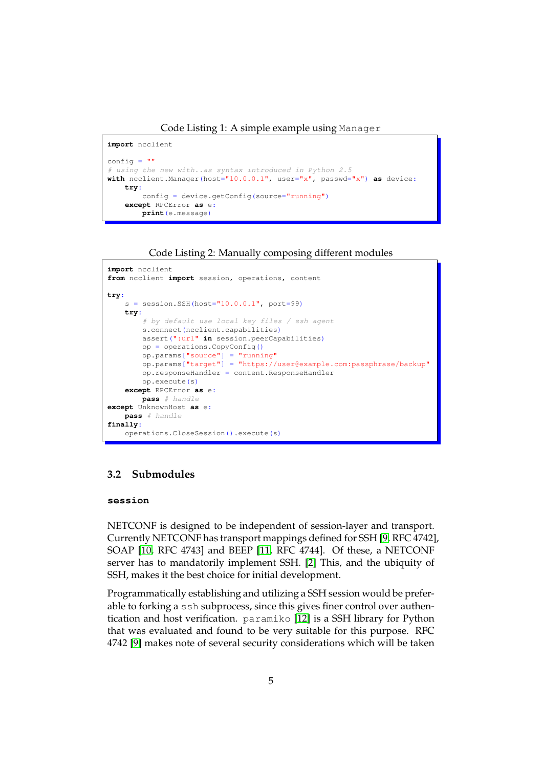Code Listing 1: A simple example using Manager

```
import ncclient
config = ""# using the new with..as syntax introduced in Python 2.5
with ncclient.Manager(host="10.0.0.1", user="x", passwd="x") as device:
   try:
       config = device.getConfig(source="running")
    except RPCError as e:
       print(e.message)
```
Code Listing 2: Manually composing different modules

```
import ncclient
from ncclient import session, operations, content
try:
    s = session. SSH (host="10.0.0.1", port=99)
    try:
        # by default use local key files / ssh agent
        s.connect(ncclient.capabilities)
       assert(":url" in session.peerCapabilities)
        op = operations.CopyConfig()
        op.params["source"] = "running"
        op.params["target"] = "https://user@example.com:passphrase/backup"
        op.responseHandler = content.ResponseHandler
       op.execute(s)
    except RPCError as e:
       pass # handle
except UnknownHost as e:
   pass # handle
finally:
   operations.CloseSession().execute(s)
```
### **3.2 Submodules**

#### **session**

NETCONF is designed to be independent of session-layer and transport. Currently NETCONF has transport mappings defined for SSH [\[9,](#page-8-7) RFC 4742], SOAP [\[10,](#page-8-8) RFC 4743] and BEEP [\[11,](#page-8-9) RFC 4744]. Of these, a NETCONF server has to mandatorily implement SSH. [\[2\]](#page-8-1) This, and the ubiquity of SSH, makes it the best choice for initial development.

Programmatically establishing and utilizing a SSH session would be preferable to forking a ssh subprocess, since this gives finer control over authentication and host verification. paramiko [\[12\]](#page-8-10) is a SSH library for Python that was evaluated and found to be very suitable for this purpose. RFC 4742 [\[9\]](#page-8-7) makes note of several security considerations which will be taken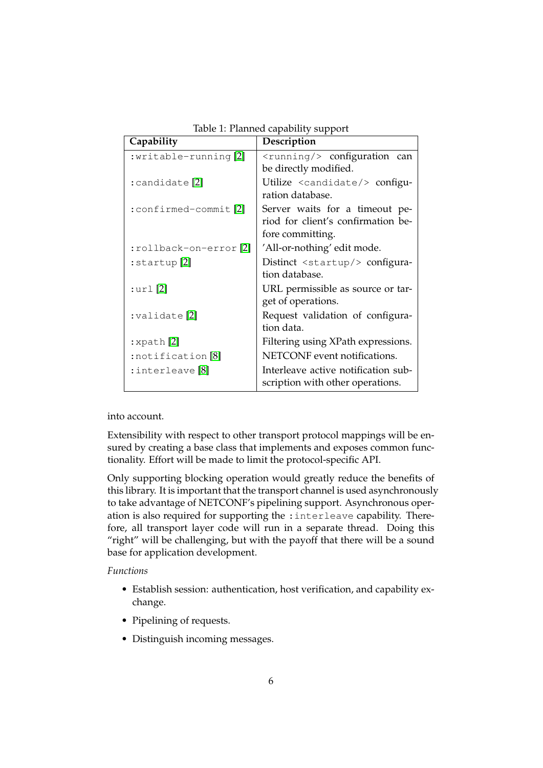| Capability                | Description                              |
|---------------------------|------------------------------------------|
| :writable-running[2]      | $\langle$ running/> configuration can    |
|                           | be directly modified.                    |
| :candidate <sup>[2]</sup> | Utilize <candidate></candidate> configu- |
|                           | ration database.                         |
| :confirmed-commit[2]      | Server waits for a timeout pe-           |
|                           | riod for client's confirmation be-       |
|                           | fore committing.                         |
| :rollback-on-error[2]     | 'All-or-nothing' edit mode.              |
| $:$ startup $[2]$         | Distinct <startup></startup> configura-  |
|                           | tion database.                           |
| $:$ url $[2]$             | URL permissible as source or tar-        |
|                           | get of operations.                       |
| :validate <sup>[2]</sup>  | Request validation of configura-         |
|                           | tion data.                               |
| $:$ xpath $[2]$           | Filtering using XPath expressions.       |
| :notification [8]         | NETCONF event notifications.             |
| $:$ interleave $[8]$      | Interleave active notification sub-      |
|                           | scription with other operations.         |

<span id="page-5-0"></span>Table 1: Planned capability support

into account.

Extensibility with respect to other transport protocol mappings will be ensured by creating a base class that implements and exposes common functionality. Effort will be made to limit the protocol-specific API.

Only supporting blocking operation would greatly reduce the benefits of this library. It is important that the transport channel is used asynchronously to take advantage of NETCONF's pipelining support. Asynchronous operation is also required for supporting the :interleave capability. Therefore, all transport layer code will run in a separate thread. Doing this "right" will be challenging, but with the payoff that there will be a sound base for application development.

*Functions*

- Establish session: authentication, host verification, and capability exchange.
- Pipelining of requests.
- Distinguish incoming messages.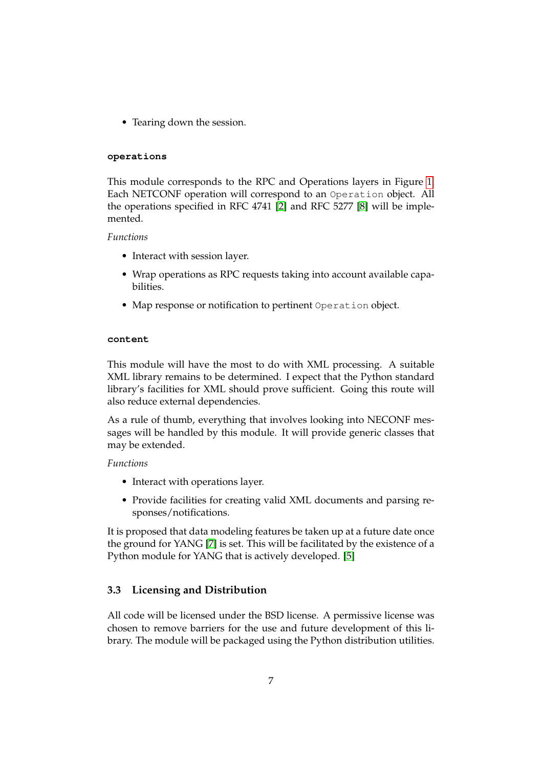• Tearing down the session.

#### **operations**

This module corresponds to the RPC and Operations layers in Figure [1.](#page-3-0) Each NETCONF operation will correspond to an Operation object. All the operations specified in RFC 4741 [\[2\]](#page-8-1) and RFC 5277 [\[8\]](#page-8-11) will be implemented.

#### *Functions*

- Interact with session layer.
- Wrap operations as RPC requests taking into account available capabilities.
- Map response or notification to pertinent Operation object.

### **content**

This module will have the most to do with XML processing. A suitable XML library remains to be determined. I expect that the Python standard library's facilities for XML should prove sufficient. Going this route will also reduce external dependencies.

As a rule of thumb, everything that involves looking into NECONF messages will be handled by this module. It will provide generic classes that may be extended.

#### *Functions*

- Interact with operations layer.
- Provide facilities for creating valid XML documents and parsing responses/notifications.

It is proposed that data modeling features be taken up at a future date once the ground for YANG [\[7\]](#page-8-6) is set. This will be facilitated by the existence of a Python module for YANG that is actively developed. [\[5\]](#page-8-4)

### **3.3 Licensing and Distribution**

All code will be licensed under the BSD license. A permissive license was chosen to remove barriers for the use and future development of this library. The module will be packaged using the Python distribution utilities.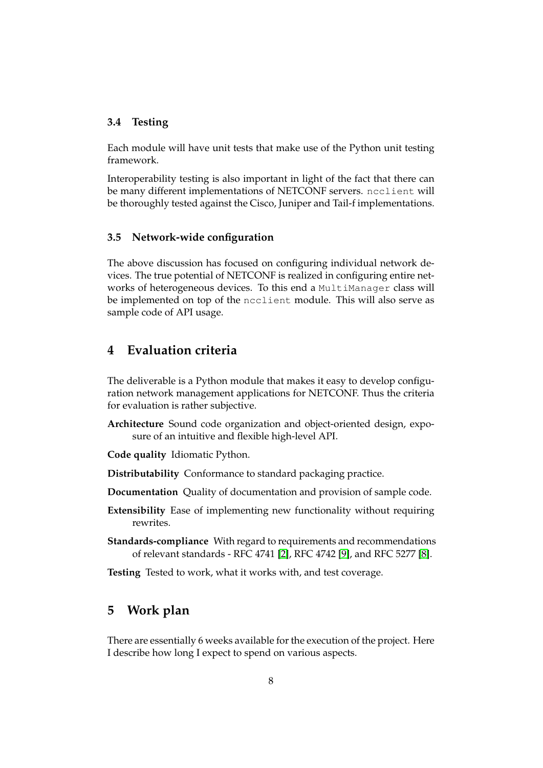### **3.4 Testing**

Each module will have unit tests that make use of the Python unit testing framework.

Interoperability testing is also important in light of the fact that there can be many different implementations of NETCONF servers. ncclient will be thoroughly tested against the Cisco, Juniper and Tail-f implementations.

### **3.5 Network-wide configuration**

The above discussion has focused on configuring individual network devices. The true potential of NETCONF is realized in configuring entire networks of heterogeneous devices. To this end a MultiManager class will be implemented on top of the ncclient module. This will also serve as sample code of API usage.

# **4 Evaluation criteria**

The deliverable is a Python module that makes it easy to develop configuration network management applications for NETCONF. Thus the criteria for evaluation is rather subjective.

- **Architecture** Sound code organization and object-oriented design, exposure of an intuitive and flexible high-level API.
- **Code quality** Idiomatic Python.
- **Distributability** Conformance to standard packaging practice.
- **Documentation** Quality of documentation and provision of sample code.
- **Extensibility** Ease of implementing new functionality without requiring rewrites.
- **Standards-compliance** With regard to requirements and recommendations of relevant standards - RFC 4741 [\[2\]](#page-8-1), RFC 4742 [\[9\]](#page-8-7), and RFC 5277 [\[8\]](#page-8-11).
- **Testing** Tested to work, what it works with, and test coverage.

# **5 Work plan**

There are essentially 6 weeks available for the execution of the project. Here I describe how long I expect to spend on various aspects.